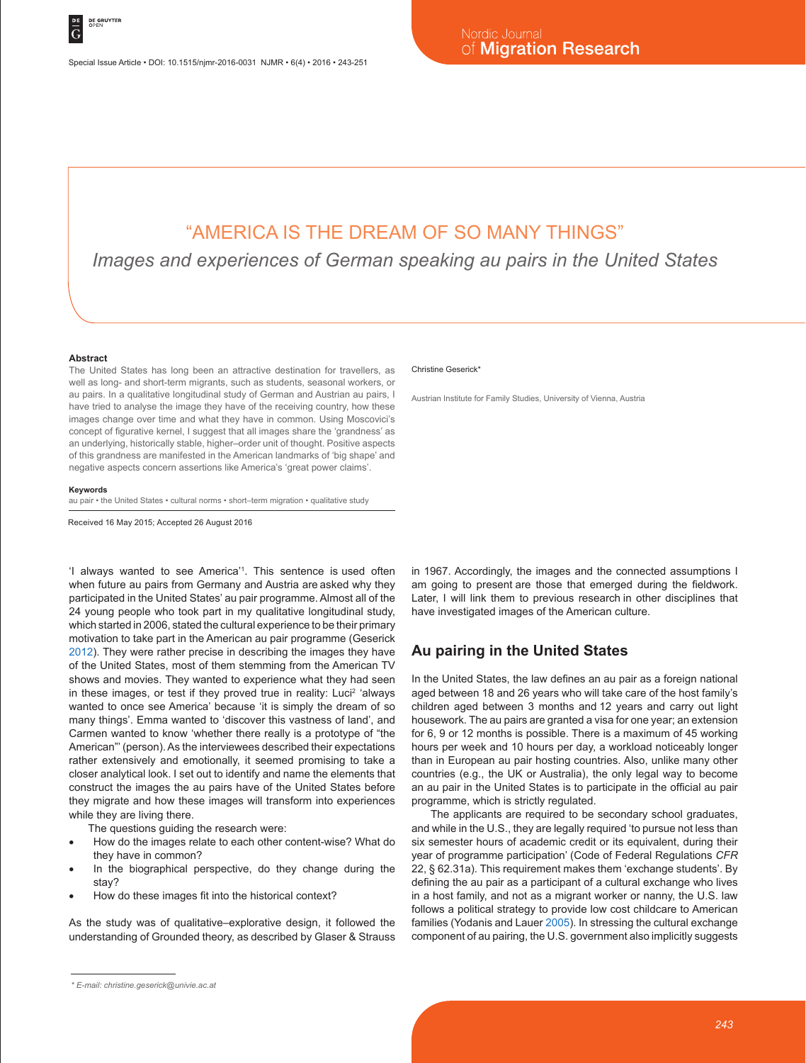# "AMERICA IS THE DREAM OF SO MANY THINGS"

*Images and experiences of German speaking au pairs in the United States*

#### **Abstract**

The United States has long been an attractive destination for travellers, as well as long- and short-term migrants, such as students, seasonal workers, or au pairs. In a qualitative longitudinal study of German and Austrian au pairs, I have tried to analyse the image they have of the receiving country, how these images change over time and what they have in common. Using Moscovici's concept of figurative kernel, I suggest that all images share the 'grandness' as an underlying, historically stable, higher–order unit of thought. Positive aspects of this grandness are manifested in the American landmarks of 'big shape' and negative aspects concern assertions like America's 'great power claims'.

#### **Keywords**

au pair • the United States • cultural norms • short–term migration • qualitative study

Received 16 May 2015; Accepted 26 August 2016

'I always wanted to see America'1 . This sentence is used often when future au pairs from Germany and Austria are asked why they participated in the United States' au pair programme. Almost all of the 24 young people who took part in my qualitative longitudinal study, which started in 2006, stated the cultural experience to be their primary motivation to take part in the American au pair programme (Geserick 2012). They were rather precise in describing the images they have of the United States, most of them stemming from the American TV shows and movies. They wanted to experience what they had seen in these images, or test if they proved true in reality: Luci<sup>2</sup> 'always wanted to once see America' because 'it is simply the dream of so many things'. Emma wanted to 'discover this vastness of land', and Carmen wanted to know 'whether there really is a prototype of "the American"' (person). As the interviewees described their expectations rather extensively and emotionally, it seemed promising to take a closer analytical look. I set out to identify and name the elements that construct the images the au pairs have of the United States before they migrate and how these images will transform into experiences while they are living there.

The questions guiding the research were:

- How do the images relate to each other content-wise? What do they have in common?
- In the biographical perspective, do they change during the stay?
- How do these images fit into the historical context?

As the study was of qualitative–explorative design, it followed the understanding of Grounded theory, as described by Glaser & Strauss

#### Christine Geserick\*

Austrian Institute for Family Studies, University of Vienna, Austria

in 1967. Accordingly, the images and the connected assumptions I am going to present are those that emerged during the fieldwork. Later, I will link them to previous research in other disciplines that have investigated images of the American culture.

## **Au pairing in the United States**

In the United States, the law defines an au pair as a foreign national aged between 18 and 26 years who will take care of the host family's children aged between 3 months and 12 years and carry out light housework. The au pairs are granted a visa for one year; an extension for 6, 9 or 12 months is possible. There is a maximum of 45 working hours per week and 10 hours per day, a workload noticeably longer than in European au pair hosting countries. Also, unlike many other countries (e.g., the UK or Australia), the only legal way to become an au pair in the United States is to participate in the official au pair programme, which is strictly regulated.

The applicants are required to be secondary school graduates, and while in the U.S., they are legally required 'to pursue not less than six semester hours of academic credit or its equivalent, during their year of programme participation' (Code of Federal Regulations *CFR* 22, § 62.31a). This requirement makes them 'exchange students'. By defining the au pair as a participant of a cultural exchange who lives in a host family, and not as a migrant worker or nanny, the U.S. law follows a political strategy to provide low cost childcare to American families (Yodanis and Lauer 2005). In stressing the cultural exchange component of au pairing, the U.S. government also implicitly suggests

*<sup>\*</sup> E-mail: christine.geserick@univie.ac.at*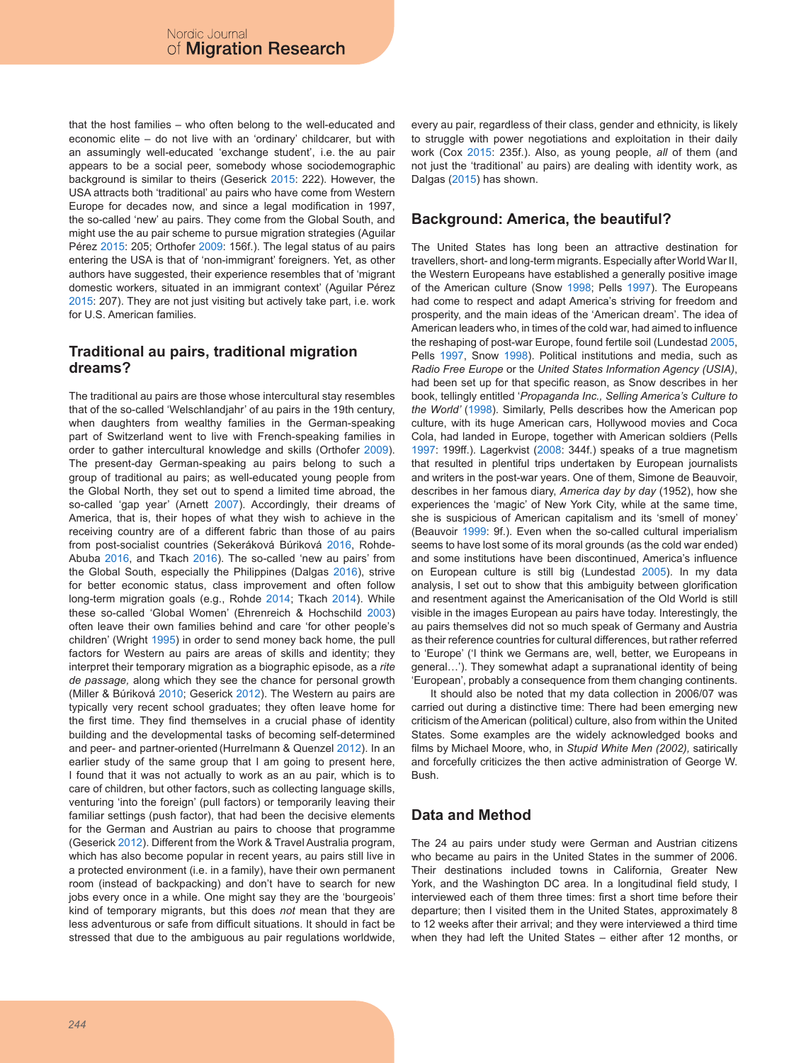that the host families – who often belong to the well-educated and economic elite – do not live with an 'ordinary' childcarer, but with an assumingly well-educated 'exchange student', i.e. the au pair appears to be a social peer, somebody whose sociodemographic background is similar to theirs (Geserick 2015: 222). However, the USA attracts both 'traditional' au pairs who have come from Western Europe for decades now, and since a legal modification in 1997, the so-called 'new' au pairs. They come from the Global South, and might use the au pair scheme to pursue migration strategies (Aguilar Pérez 2015: 205; Orthofer 2009: 156f.). The legal status of au pairs entering the USA is that of 'non-immigrant' foreigners. Yet, as other authors have suggested, their experience resembles that of 'migrant domestic workers, situated in an immigrant context' (Aguilar Pérez 2015: 207). They are not just visiting but actively take part, i.e. work for U.S. American families.

# **Traditional au pairs, traditional migration dreams?**

The traditional au pairs are those whose intercultural stay resembles that of the so-called 'Welschlandjahr' of au pairs in the 19th century, when daughters from wealthy families in the German-speaking part of Switzerland went to live with French-speaking families in order to gather intercultural knowledge and skills (Orthofer 2009). The present-day German-speaking au pairs belong to such a group of traditional au pairs; as well-educated young people from the Global North, they set out to spend a limited time abroad, the so-called 'gap year' (Arnett 2007). Accordingly, their dreams of America, that is, their hopes of what they wish to achieve in the receiving country are of a different fabric than those of au pairs from post-socialist countries (Sekeráková Búriková 2016, Rohde-Abuba 2016, and Tkach 2016). The so-called 'new au pairs' from the Global South, especially the Philippines (Dalgas 2016), strive for better economic status, class improvement and often follow long-term migration goals (e.g., Rohde 2014; Tkach 2014). While these so-called 'Global Women' (Ehrenreich & Hochschild 2003) often leave their own families behind and care 'for other people's children' (Wright 1995) in order to send money back home, the pull factors for Western au pairs are areas of skills and identity; they interpret their temporary migration as a biographic episode, as a *rite de passage,* along which they see the chance for personal growth (Miller & Búriková 2010; Geserick 2012). The Western au pairs are typically very recent school graduates; they often leave home for the first time. They find themselves in a crucial phase of identity building and the developmental tasks of becoming self-determined and peer- and partner-oriented (Hurrelmann & Quenzel 2012). In an earlier study of the same group that I am going to present here, I found that it was not actually to work as an au pair, which is to care of children, but other factors, such as collecting language skills, venturing 'into the foreign' (pull factors) or temporarily leaving their familiar settings (push factor), that had been the decisive elements for the German and Austrian au pairs to choose that programme (Geserick 2012). Different from the Work & Travel Australia program, which has also become popular in recent years, au pairs still live in a protected environment (i.e. in a family), have their own permanent room (instead of backpacking) and don't have to search for new jobs every once in a while. One might say they are the 'bourgeois' kind of temporary migrants, but this does *not* mean that they are less adventurous or safe from difficult situations. It should in fact be stressed that due to the ambiguous au pair regulations worldwide,

every au pair, regardless of their class, gender and ethnicity, is likely to struggle with power negotiations and exploitation in their daily work (Cox 2015: 235f.). Also, as young people, *all* of them (and not just the 'traditional' au pairs) are dealing with identity work, as Dalgas (2015) has shown.

## **Background: America, the beautiful?**

The United States has long been an attractive destination for travellers, short- and long-term migrants. Especially after World War II, the Western Europeans have established a generally positive image of the American culture (Snow 1998; Pells 1997). The Europeans had come to respect and adapt America's striving for freedom and prosperity, and the main ideas of the 'American dream'. The idea of American leaders who, in times of the cold war, had aimed to influence the reshaping of post-war Europe, found fertile soil (Lundestad 2005, Pells 1997, Snow 1998). Political institutions and media, such as *Radio Free Europe* or the *United States Information Agency (USIA)*, had been set up for that specific reason, as Snow describes in her book, tellingly entitled '*Propaganda Inc., Selling America's Culture to the World'* (1998). Similarly, Pells describes how the American pop culture, with its huge American cars, Hollywood movies and Coca Cola, had landed in Europe, together with American soldiers (Pells 1997: 199ff.). Lagerkvist (2008: 344f.) speaks of a true magnetism that resulted in plentiful trips undertaken by European journalists and writers in the post-war years. One of them, Simone de Beauvoir, describes in her famous diary, *America day by day* (1952), how she experiences the 'magic' of New York City, while at the same time, she is suspicious of American capitalism and its 'smell of money' (Beauvoir 1999: 9f.). Even when the so-called cultural imperialism seems to have lost some of its moral grounds (as the cold war ended) and some institutions have been discontinued, America's influence on European culture is still big (Lundestad 2005). In my data analysis, I set out to show that this ambiguity between glorification and resentment against the Americanisation of the Old World is still visible in the images European au pairs have today. Interestingly, the au pairs themselves did not so much speak of Germany and Austria as their reference countries for cultural differences, but rather referred to 'Europe' ('I think we Germans are, well, better, we Europeans in general…'). They somewhat adapt a supranational identity of being 'European', probably a consequence from them changing continents.

It should also be noted that my data collection in 2006/07 was carried out during a distinctive time: There had been emerging new criticism of the American (political) culture, also from within the United States. Some examples are the widely acknowledged books and films by Michael Moore, who, in *Stupid White Men (2002),* satirically and forcefully criticizes the then active administration of George W. Bush.

# **Data and Method**

The 24 au pairs under study were German and Austrian citizens who became au pairs in the United States in the summer of 2006. Their destinations included towns in California, Greater New York, and the Washington DC area. In a longitudinal field study, I interviewed each of them three times: first a short time before their departure; then I visited them in the United States, approximately 8 to 12 weeks after their arrival; and they were interviewed a third time when they had left the United States – either after 12 months, or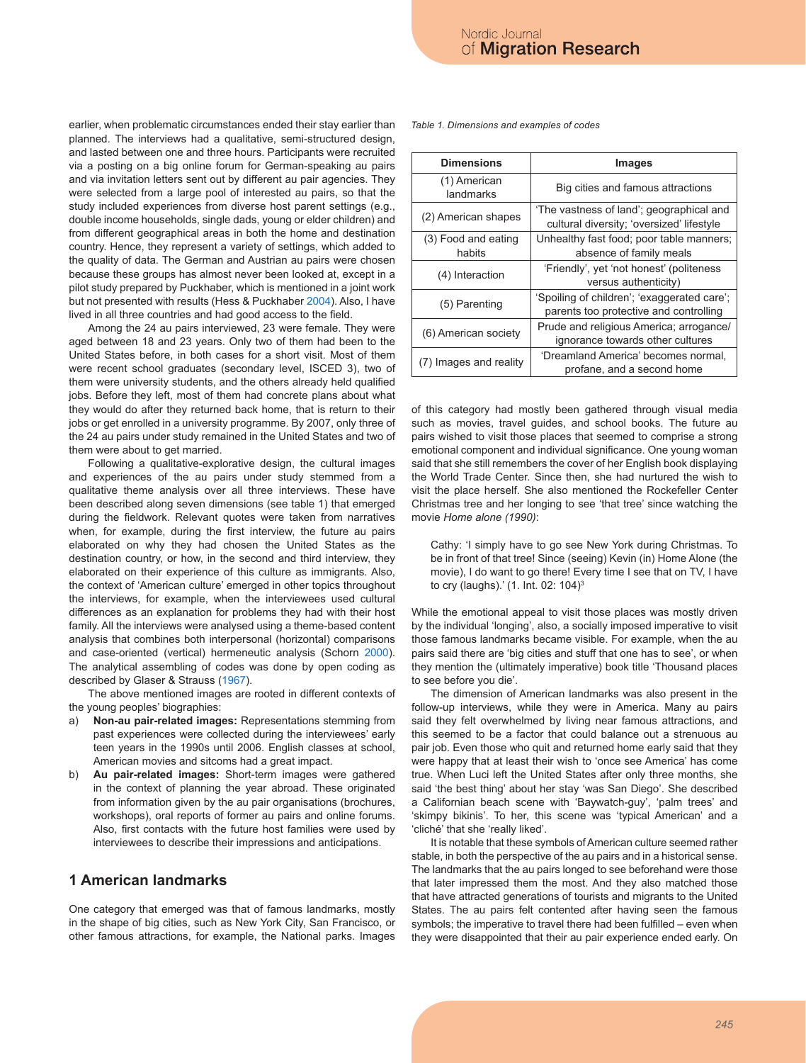earlier, when problematic circumstances ended their stay earlier than planned. The interviews had a qualitative, semi-structured design, and lasted between one and three hours. Participants were recruited via a posting on a big online forum for German-speaking au pairs and via invitation letters sent out by different au pair agencies. They were selected from a large pool of interested au pairs, so that the study included experiences from diverse host parent settings (e.g., double income households, single dads, young or elder children) and from different geographical areas in both the home and destination country. Hence, they represent a variety of settings, which added to the quality of data. The German and Austrian au pairs were chosen because these groups has almost never been looked at, except in a pilot study prepared by Puckhaber, which is mentioned in a joint work but not presented with results (Hess & Puckhaber 2004). Also, I have lived in all three countries and had good access to the field.

Among the 24 au pairs interviewed, 23 were female. They were aged between 18 and 23 years. Only two of them had been to the United States before, in both cases for a short visit. Most of them were recent school graduates (secondary level, ISCED 3), two of them were university students, and the others already held qualified jobs. Before they left, most of them had concrete plans about what they would do after they returned back home, that is return to their jobs or get enrolled in a university programme. By 2007, only three of the 24 au pairs under study remained in the United States and two of them were about to get married.

Following a qualitative-explorative design, the cultural images and experiences of the au pairs under study stemmed from a qualitative theme analysis over all three interviews. These have been described along seven dimensions (see table 1) that emerged during the fieldwork. Relevant quotes were taken from narratives when, for example, during the first interview, the future au pairs elaborated on why they had chosen the United States as the destination country, or how, in the second and third interview, they elaborated on their experience of this culture as immigrants. Also, the context of 'American culture' emerged in other topics throughout the interviews, for example, when the interviewees used cultural differences as an explanation for problems they had with their host family. All the interviews were analysed using a theme-based content analysis that combines both interpersonal (horizontal) comparisons and case-oriented (vertical) hermeneutic analysis (Schorn 2000). The analytical assembling of codes was done by open coding as described by Glaser & Strauss (1967).

The above mentioned images are rooted in different contexts of the young peoples' biographies:

- a) **Non-au pair-related images:** Representations stemming from past experiences were collected during the interviewees' early teen years in the 1990s until 2006. English classes at school, American movies and sitcoms had a great impact.
- b) **Au pair-related images:** Short-term images were gathered in the context of planning the year abroad. These originated from information given by the au pair organisations (brochures, workshops), oral reports of former au pairs and online forums. Also, first contacts with the future host families were used by interviewees to describe their impressions and anticipations.

# **1 American landmarks**

One category that emerged was that of famous landmarks, mostly in the shape of big cities, such as New York City, San Francisco, or other famous attractions, for example, the National parks. Images *Table 1. Dimensions and examples of codes*

| Images                                                                                |  |
|---------------------------------------------------------------------------------------|--|
| Big cities and famous attractions                                                     |  |
| 'The vastness of land'; geographical and<br>cultural diversity; 'oversized' lifestyle |  |
| Unhealthy fast food; poor table manners;<br>absence of family meals                   |  |
| 'Friendly', yet 'not honest' (politeness<br>versus authenticity)                      |  |
| 'Spoiling of children'; 'exaggerated care';<br>parents too protective and controlling |  |
| Prude and religious America; arrogance/<br>ignorance towards other cultures           |  |
| 'Dreamland America' becomes normal,<br>profane, and a second home                     |  |
|                                                                                       |  |

of this category had mostly been gathered through visual media such as movies, travel guides, and school books. The future au pairs wished to visit those places that seemed to comprise a strong emotional component and individual significance. One young woman said that she still remembers the cover of her English book displaying the World Trade Center. Since then, she had nurtured the wish to visit the place herself. She also mentioned the Rockefeller Center Christmas tree and her longing to see 'that tree' since watching the movie *Home alone (1990)*:

Cathy: 'I simply have to go see New York during Christmas. To be in front of that tree! Since (seeing) Kevin (in) Home Alone (the movie), I do want to go there! Every time I see that on TV, I have to cry (laughs).' (1. Int. 02: 104)3

While the emotional appeal to visit those places was mostly driven by the individual 'longing', also, a socially imposed imperative to visit those famous landmarks became visible. For example, when the au pairs said there are 'big cities and stuff that one has to see', or when they mention the (ultimately imperative) book title 'Thousand places to see before you die'.

The dimension of American landmarks was also present in the follow-up interviews, while they were in America. Many au pairs said they felt overwhelmed by living near famous attractions, and this seemed to be a factor that could balance out a strenuous au pair job. Even those who quit and returned home early said that they were happy that at least their wish to 'once see America' has come true. When Luci left the United States after only three months, she said 'the best thing' about her stay 'was San Diego'. She described a Californian beach scene with 'Baywatch-guy', 'palm trees' and 'skimpy bikinis'. To her, this scene was 'typical American' and a 'cliché' that she 'really liked'.

It is notable that these symbols of American culture seemed rather stable, in both the perspective of the au pairs and in a historical sense. The landmarks that the au pairs longed to see beforehand were those that later impressed them the most. And they also matched those that have attracted generations of tourists and migrants to the United States. The au pairs felt contented after having seen the famous symbols; the imperative to travel there had been fulfilled – even when they were disappointed that their au pair experience ended early. On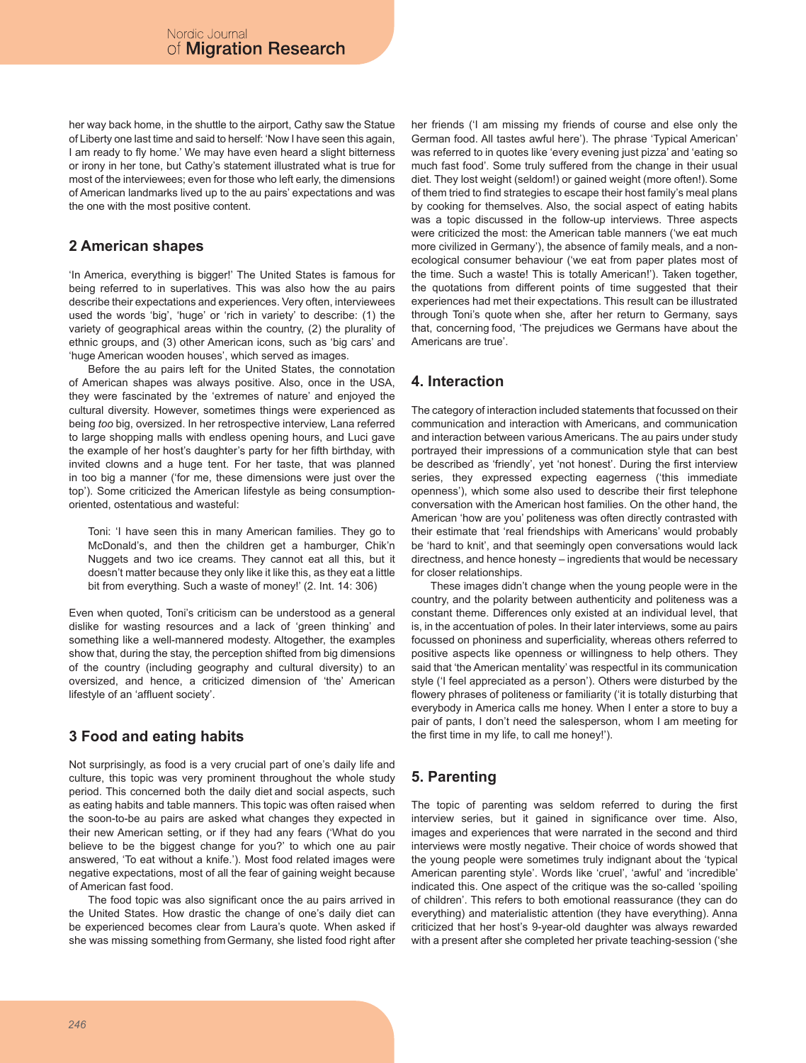her way back home, in the shuttle to the airport, Cathy saw the Statue of Liberty one last time and said to herself: 'Now I have seen this again, I am ready to fly home.' We may have even heard a slight bitterness or irony in her tone, but Cathy's statement illustrated what is true for most of the interviewees; even for those who left early, the dimensions of American landmarks lived up to the au pairs' expectations and was the one with the most positive content.

# **2 American shapes**

'In America, everything is bigger!' The United States is famous for being referred to in superlatives. This was also how the au pairs describe their expectations and experiences. Very often, interviewees used the words 'big', 'huge' or 'rich in variety' to describe: (1) the variety of geographical areas within the country, (2) the plurality of ethnic groups, and (3) other American icons, such as 'big cars' and 'huge American wooden houses', which served as images.

Before the au pairs left for the United States, the connotation of American shapes was always positive. Also, once in the USA, they were fascinated by the 'extremes of nature' and enjoyed the cultural diversity. However, sometimes things were experienced as being *too* big, oversized. In her retrospective interview, Lana referred to large shopping malls with endless opening hours, and Luci gave the example of her host's daughter's party for her fifth birthday, with invited clowns and a huge tent. For her taste, that was planned in too big a manner ('for me, these dimensions were just over the top'). Some criticized the American lifestyle as being consumptionoriented, ostentatious and wasteful:

Toni: 'I have seen this in many American families. They go to McDonald's, and then the children get a hamburger, Chik'n Nuggets and two ice creams. They cannot eat all this, but it doesn't matter because they only like it like this, as they eat a little bit from everything. Such a waste of money!' (2. Int. 14: 306)

Even when quoted, Toni's criticism can be understood as a general dislike for wasting resources and a lack of 'green thinking' and something like a well-mannered modesty. Altogether, the examples show that, during the stay, the perception shifted from big dimensions of the country (including geography and cultural diversity) to an oversized, and hence, a criticized dimension of 'the' American lifestyle of an 'affluent society'.

# **3 Food and eating habits**

Not surprisingly, as food is a very crucial part of one's daily life and culture, this topic was very prominent throughout the whole study period. This concerned both the daily diet and social aspects, such as eating habits and table manners. This topic was often raised when the soon-to-be au pairs are asked what changes they expected in their new American setting, or if they had any fears ('What do you believe to be the biggest change for you?' to which one au pair answered, 'To eat without a knife.'). Most food related images were negative expectations, most of all the fear of gaining weight because of American fast food.

The food topic was also significant once the au pairs arrived in the United States. How drastic the change of one's daily diet can be experienced becomes clear from Laura's quote. When asked if she was missing something from Germany, she listed food right after her friends ('I am missing my friends of course and else only the German food. All tastes awful here'). The phrase 'Typical American' was referred to in quotes like 'every evening just pizza' and 'eating so much fast food'. Some truly suffered from the change in their usual diet. They lost weight (seldom!) or gained weight (more often!). Some of them tried to find strategies to escape their host family's meal plans by cooking for themselves. Also, the social aspect of eating habits was a topic discussed in the follow-up interviews. Three aspects were criticized the most: the American table manners ('we eat much more civilized in Germany'), the absence of family meals, and a nonecological consumer behaviour ('we eat from paper plates most of the time. Such a waste! This is totally American!'). Taken together, the quotations from different points of time suggested that their experiences had met their expectations. This result can be illustrated through Toni's quote when she, after her return to Germany, says that, concerning food, 'The prejudices we Germans have about the Americans are true'.

# **4. Interaction**

The category of interaction included statements that focussed on their communication and interaction with Americans, and communication and interaction between various Americans. The au pairs under study portrayed their impressions of a communication style that can best be described as 'friendly', yet 'not honest'. During the first interview series, they expressed expecting eagerness ('this immediate openness'), which some also used to describe their first telephone conversation with the American host families. On the other hand, the American 'how are you' politeness was often directly contrasted with their estimate that 'real friendships with Americans' would probably be 'hard to knit', and that seemingly open conversations would lack directness, and hence honesty – ingredients that would be necessary for closer relationships.

These images didn't change when the young people were in the country, and the polarity between authenticity and politeness was a constant theme. Differences only existed at an individual level, that is, in the accentuation of poles. In their later interviews, some au pairs focussed on phoniness and superficiality, whereas others referred to positive aspects like openness or willingness to help others. They said that 'the American mentality' was respectful in its communication style ('I feel appreciated as a person'). Others were disturbed by the flowery phrases of politeness or familiarity ('it is totally disturbing that everybody in America calls me honey. When I enter a store to buy a pair of pants, I don't need the salesperson, whom I am meeting for the first time in my life, to call me honey!').

# **5. Parenting**

The topic of parenting was seldom referred to during the first interview series, but it gained in significance over time. Also, images and experiences that were narrated in the second and third interviews were mostly negative. Their choice of words showed that the young people were sometimes truly indignant about the 'typical American parenting style'. Words like 'cruel', 'awful' and 'incredible' indicated this. One aspect of the critique was the so-called 'spoiling of children'. This refers to both emotional reassurance (they can do everything) and materialistic attention (they have everything). Anna criticized that her host's 9-year-old daughter was always rewarded with a present after she completed her private teaching-session ('she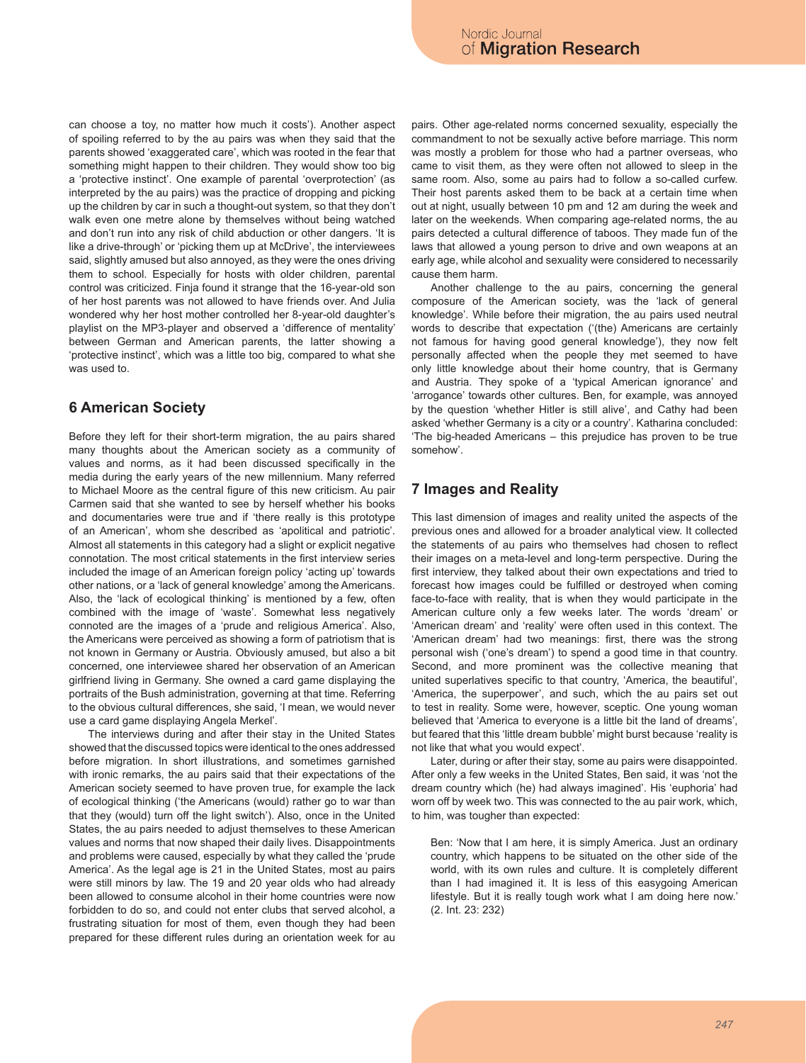can choose a toy, no matter how much it costs'). Another aspect of spoiling referred to by the au pairs was when they said that the parents showed 'exaggerated care', which was rooted in the fear that something might happen to their children. They would show too big a 'protective instinct'. One example of parental 'overprotection' (as interpreted by the au pairs) was the practice of dropping and picking up the children by car in such a thought-out system, so that they don't walk even one metre alone by themselves without being watched and don't run into any risk of child abduction or other dangers. 'It is like a drive-through' or 'picking them up at McDrive', the interviewees said, slightly amused but also annoyed, as they were the ones driving them to school. Especially for hosts with older children, parental control was criticized. Finja found it strange that the 16-year-old son of her host parents was not allowed to have friends over. And Julia wondered why her host mother controlled her 8-year-old daughter's playlist on the MP3-player and observed a 'difference of mentality' between German and American parents, the latter showing a 'protective instinct', which was a little too big, compared to what she was used to.

# **6 American Society**

Before they left for their short-term migration, the au pairs shared many thoughts about the American society as a community of values and norms, as it had been discussed specifically in the media during the early years of the new millennium. Many referred to Michael Moore as the central figure of this new criticism. Au pair Carmen said that she wanted to see by herself whether his books and documentaries were true and if 'there really is this prototype of an American', whom she described as 'apolitical and patriotic'. Almost all statements in this category had a slight or explicit negative connotation. The most critical statements in the first interview series included the image of an American foreign policy 'acting up' towards other nations, or a 'lack of general knowledge' among the Americans. Also, the 'lack of ecological thinking' is mentioned by a few, often combined with the image of 'waste'. Somewhat less negatively connoted are the images of a 'prude and religious America'. Also, the Americans were perceived as showing a form of patriotism that is not known in Germany or Austria. Obviously amused, but also a bit concerned, one interviewee shared her observation of an American girlfriend living in Germany. She owned a card game displaying the portraits of the Bush administration, governing at that time. Referring to the obvious cultural differences, she said, 'I mean, we would never use a card game displaying Angela Merkel'.

The interviews during and after their stay in the United States showed that the discussed topics were identical to the ones addressed before migration. In short illustrations, and sometimes garnished with ironic remarks, the au pairs said that their expectations of the American society seemed to have proven true, for example the lack of ecological thinking ('the Americans (would) rather go to war than that they (would) turn off the light switch'). Also, once in the United States, the au pairs needed to adjust themselves to these American values and norms that now shaped their daily lives. Disappointments and problems were caused, especially by what they called the 'prude America'. As the legal age is 21 in the United States, most au pairs were still minors by law. The 19 and 20 year olds who had already been allowed to consume alcohol in their home countries were now forbidden to do so, and could not enter clubs that served alcohol, a frustrating situation for most of them, even though they had been prepared for these different rules during an orientation week for au

pairs. Other age-related norms concerned sexuality, especially the commandment to not be sexually active before marriage. This norm was mostly a problem for those who had a partner overseas, who came to visit them, as they were often not allowed to sleep in the same room. Also, some au pairs had to follow a so-called curfew. Their host parents asked them to be back at a certain time when out at night, usually between 10 pm and 12 am during the week and later on the weekends. When comparing age-related norms, the au pairs detected a cultural difference of taboos. They made fun of the laws that allowed a young person to drive and own weapons at an early age, while alcohol and sexuality were considered to necessarily cause them harm.

Another challenge to the au pairs, concerning the general composure of the American society, was the 'lack of general knowledge'. While before their migration, the au pairs used neutral words to describe that expectation ('(the) Americans are certainly not famous for having good general knowledge'), they now felt personally affected when the people they met seemed to have only little knowledge about their home country, that is Germany and Austria. They spoke of a 'typical American ignorance' and 'arrogance' towards other cultures. Ben, for example, was annoyed by the question 'whether Hitler is still alive', and Cathy had been asked 'whether Germany is a city or a country'. Katharina concluded: 'The big-headed Americans – this prejudice has proven to be true somehow'.

## **7 Images and Reality**

This last dimension of images and reality united the aspects of the previous ones and allowed for a broader analytical view. It collected the statements of au pairs who themselves had chosen to reflect their images on a meta-level and long-term perspective. During the first interview, they talked about their own expectations and tried to forecast how images could be fulfilled or destroyed when coming face-to-face with reality, that is when they would participate in the American culture only a few weeks later. The words 'dream' or 'American dream' and 'reality' were often used in this context. The 'American dream' had two meanings: first, there was the strong personal wish ('one's dream') to spend a good time in that country. Second, and more prominent was the collective meaning that united superlatives specific to that country, 'America, the beautiful', 'America, the superpower', and such, which the au pairs set out to test in reality. Some were, however, sceptic. One young woman believed that 'America to everyone is a little bit the land of dreams', but feared that this 'little dream bubble' might burst because 'reality is not like that what you would expect'.

Later, during or after their stay, some au pairs were disappointed. After only a few weeks in the United States, Ben said, it was 'not the dream country which (he) had always imagined'. His 'euphoria' had worn off by week two. This was connected to the au pair work, which, to him, was tougher than expected:

Ben: 'Now that I am here, it is simply America. Just an ordinary country, which happens to be situated on the other side of the world, with its own rules and culture. It is completely different than I had imagined it. It is less of this easygoing American lifestyle. But it is really tough work what I am doing here now.' (2. Int. 23: 232)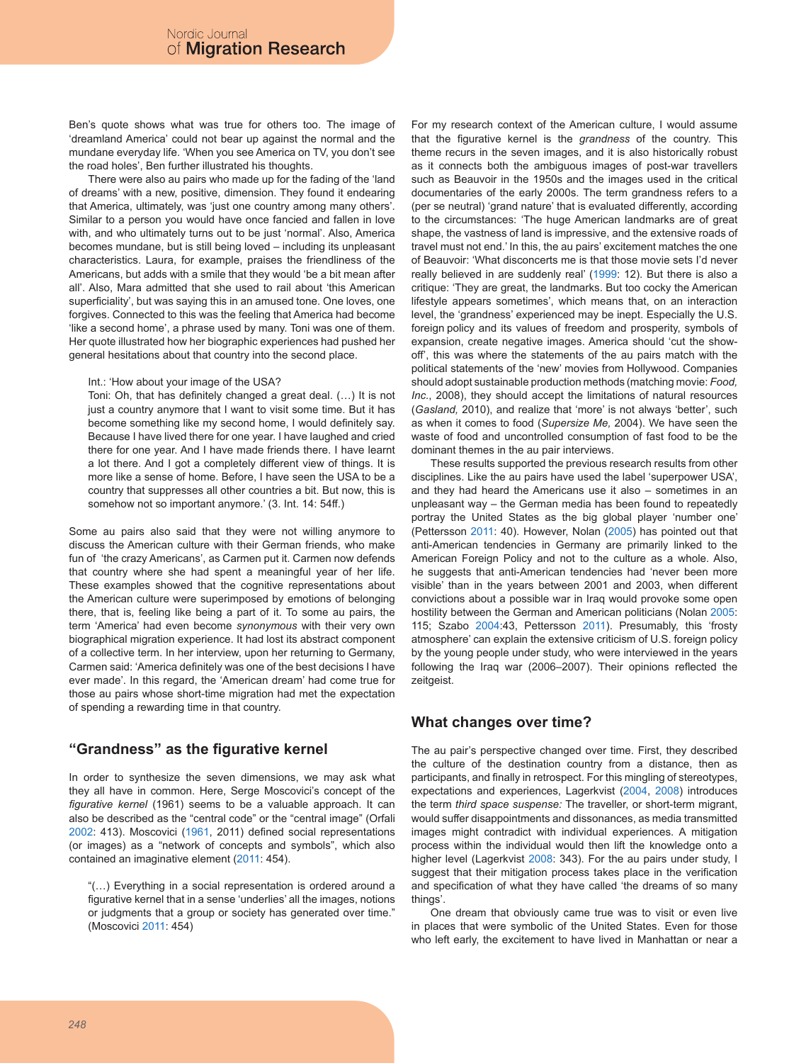Ben's quote shows what was true for others too. The image of 'dreamland America' could not bear up against the normal and the mundane everyday life. 'When you see America on TV, you don't see the road holes', Ben further illustrated his thoughts.

There were also au pairs who made up for the fading of the 'land of dreams' with a new, positive, dimension. They found it endearing that America, ultimately, was 'just one country among many others'. Similar to a person you would have once fancied and fallen in love with, and who ultimately turns out to be just 'normal'. Also, America becomes mundane, but is still being loved – including its unpleasant characteristics. Laura, for example, praises the friendliness of the Americans, but adds with a smile that they would 'be a bit mean after all'. Also, Mara admitted that she used to rail about 'this American superficiality', but was saying this in an amused tone. One loves, one forgives. Connected to this was the feeling that America had become 'like a second home', a phrase used by many. Toni was one of them. Her quote illustrated how her biographic experiences had pushed her general hesitations about that country into the second place.

#### Int.: 'How about your image of the USA?

Toni: Oh, that has definitely changed a great deal. (…) It is not just a country anymore that I want to visit some time. But it has become something like my second home, I would definitely say. Because I have lived there for one year. I have laughed and cried there for one year. And I have made friends there. I have learnt a lot there. And I got a completely different view of things. It is more like a sense of home. Before, I have seen the USA to be a country that suppresses all other countries a bit. But now, this is somehow not so important anymore.' (3. Int. 14: 54ff.)

Some au pairs also said that they were not willing anymore to discuss the American culture with their German friends, who make fun of 'the crazy Americans', as Carmen put it. Carmen now defends that country where she had spent a meaningful year of her life. These examples showed that the cognitive representations about the American culture were superimposed by emotions of belonging there, that is, feeling like being a part of it. To some au pairs, the term 'America' had even become *synonymous* with their very own biographical migration experience. It had lost its abstract component of a collective term. In her interview, upon her returning to Germany, Carmen said: 'America definitely was one of the best decisions I have ever made'. In this regard, the 'American dream' had come true for those au pairs whose short-time migration had met the expectation of spending a rewarding time in that country.

## **"Grandness" as the figurative kernel**

In order to synthesize the seven dimensions, we may ask what they all have in common. Here, Serge Moscovici's concept of the *figurative kernel* (1961) seems to be a valuable approach. It can also be described as the "central code" or the "central image" (Orfali 2002: 413). Moscovici (1961, 2011) defined social representations (or images) as a "network of concepts and symbols", which also contained an imaginative element (2011: 454).

"(…) Everything in a social representation is ordered around a figurative kernel that in a sense 'underlies' all the images, notions or judgments that a group or society has generated over time." (Moscovici 2011: 454)

For my research context of the American culture, I would assume that the figurative kernel is the *grandness* of the country. This theme recurs in the seven images, and it is also historically robust as it connects both the ambiguous images of post-war travellers such as Beauvoir in the 1950s and the images used in the critical documentaries of the early 2000s. The term grandness refers to a (per se neutral) 'grand nature' that is evaluated differently, according to the circumstances: 'The huge American landmarks are of great shape, the vastness of land is impressive, and the extensive roads of travel must not end.' In this, the au pairs' excitement matches the one of Beauvoir: 'What disconcerts me is that those movie sets I'd never really believed in are suddenly real' (1999: 12). But there is also a critique: 'They are great, the landmarks. But too cocky the American lifestyle appears sometimes', which means that, on an interaction level, the 'grandness' experienced may be inept. Especially the U.S. foreign policy and its values of freedom and prosperity, symbols of expansion, create negative images. America should 'cut the showoff', this was where the statements of the au pairs match with the political statements of the 'new' movies from Hollywood. Companies should adopt sustainable production methods (matching movie: *Food, Inc.*, 2008), they should accept the limitations of natural resources (*Gasland,* 2010), and realize that 'more' is not always 'better', such as when it comes to food (*Supersize Me,* 2004). We have seen the waste of food and uncontrolled consumption of fast food to be the dominant themes in the au pair interviews.

These results supported the previous research results from other disciplines. Like the au pairs have used the label 'superpower USA', and they had heard the Americans use it also – sometimes in an unpleasant way – the German media has been found to repeatedly portray the United States as the big global player 'number one' (Pettersson 2011: 40). However, Nolan (2005) has pointed out that anti-American tendencies in Germany are primarily linked to the American Foreign Policy and not to the culture as a whole. Also, he suggests that anti-American tendencies had 'never been more visible' than in the years between 2001 and 2003, when different convictions about a possible war in Iraq would provoke some open hostility between the German and American politicians (Nolan 2005: 115; Szabo 2004:43, Pettersson 2011). Presumably, this 'frosty atmosphere' can explain the extensive criticism of U.S. foreign policy by the young people under study, who were interviewed in the years following the Iraq war (2006–2007). Their opinions reflected the zeitgeist.

### **What changes over time?**

The au pair's perspective changed over time. First, they described the culture of the destination country from a distance, then as participants, and finally in retrospect. For this mingling of stereotypes, expectations and experiences, Lagerkvist (2004, 2008) introduces the term *third space suspense:* The traveller, or short-term migrant, would suffer disappointments and dissonances, as media transmitted images might contradict with individual experiences. A mitigation process within the individual would then lift the knowledge onto a higher level (Lagerkvist 2008: 343). For the au pairs under study, I suggest that their mitigation process takes place in the verification and specification of what they have called 'the dreams of so many things'.

One dream that obviously came true was to visit or even live in places that were symbolic of the United States. Even for those who left early, the excitement to have lived in Manhattan or near a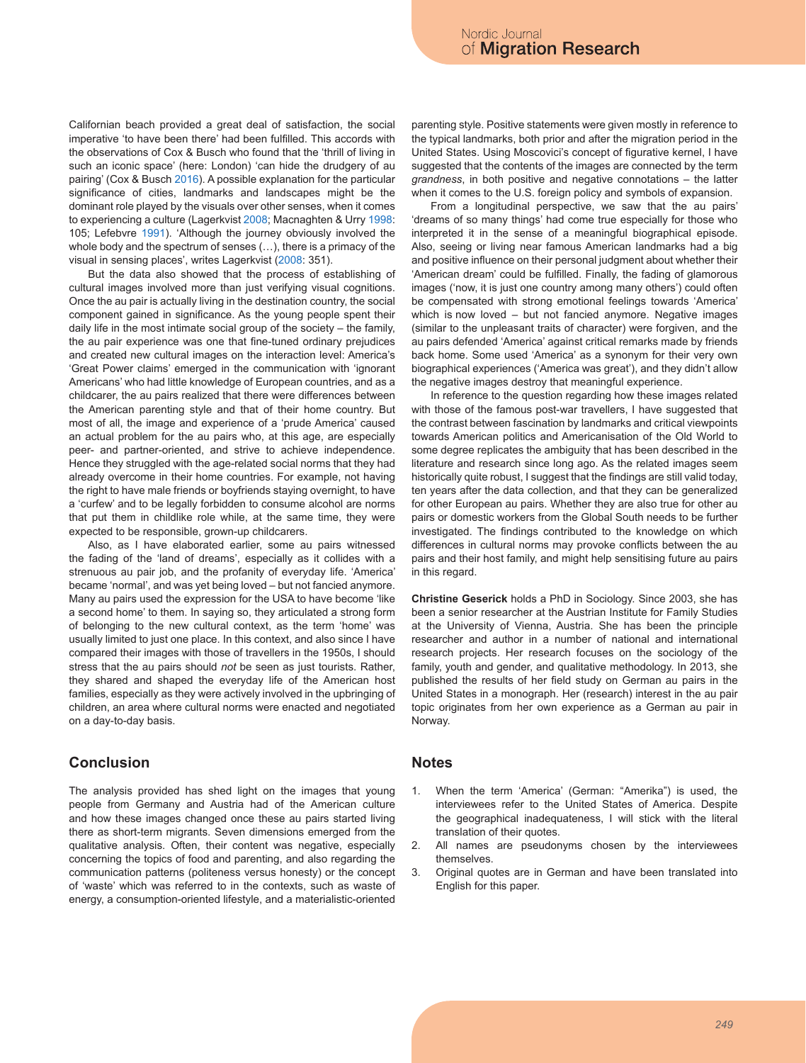Californian beach provided a great deal of satisfaction, the social imperative 'to have been there' had been fulfilled. This accords with the observations of Cox & Busch who found that the 'thrill of living in such an iconic space' (here: London) 'can hide the drudgery of au pairing' (Cox & Busch 2016). A possible explanation for the particular significance of cities, landmarks and landscapes might be the dominant role played by the visuals over other senses, when it comes to experiencing a culture (Lagerkvist 2008; Macnaghten & Urry 1998: 105; Lefebvre 1991). 'Although the journey obviously involved the whole body and the spectrum of senses (…), there is a primacy of the visual in sensing places', writes Lagerkvist (2008: 351).

But the data also showed that the process of establishing of cultural images involved more than just verifying visual cognitions. Once the au pair is actually living in the destination country, the social component gained in significance. As the young people spent their daily life in the most intimate social group of the society – the family, the au pair experience was one that fine-tuned ordinary prejudices and created new cultural images on the interaction level: America's 'Great Power claims' emerged in the communication with 'ignorant Americans' who had little knowledge of European countries, and as a childcarer, the au pairs realized that there were differences between the American parenting style and that of their home country. But most of all, the image and experience of a 'prude America' caused an actual problem for the au pairs who, at this age, are especially peer- and partner-oriented, and strive to achieve independence. Hence they struggled with the age-related social norms that they had already overcome in their home countries. For example, not having the right to have male friends or boyfriends staying overnight, to have a 'curfew' and to be legally forbidden to consume alcohol are norms that put them in childlike role while, at the same time, they were expected to be responsible, grown-up childcarers.

Also, as I have elaborated earlier, some au pairs witnessed the fading of the 'land of dreams', especially as it collides with a strenuous au pair job, and the profanity of everyday life. 'America' became 'normal', and was yet being loved – but not fancied anymore. Many au pairs used the expression for the USA to have become 'like a second home' to them. In saying so, they articulated a strong form of belonging to the new cultural context, as the term 'home' was usually limited to just one place. In this context, and also since I have compared their images with those of travellers in the 1950s, I should stress that the au pairs should *not* be seen as just tourists. Rather, they shared and shaped the everyday life of the American host families, especially as they were actively involved in the upbringing of children, an area where cultural norms were enacted and negotiated on a day-to-day basis.

# **Conclusion**

The analysis provided has shed light on the images that young people from Germany and Austria had of the American culture and how these images changed once these au pairs started living there as short-term migrants. Seven dimensions emerged from the qualitative analysis. Often, their content was negative, especially concerning the topics of food and parenting, and also regarding the communication patterns (politeness versus honesty) or the concept of 'waste' which was referred to in the contexts, such as waste of energy, a consumption-oriented lifestyle, and a materialistic-oriented

parenting style. Positive statements were given mostly in reference to the typical landmarks, both prior and after the migration period in the United States. Using Moscovici's concept of figurative kernel, I have suggested that the contents of the images are connected by the term *grandness*, in both positive and negative connotations – the latter when it comes to the U.S. foreign policy and symbols of expansion.

From a longitudinal perspective, we saw that the au pairs' 'dreams of so many things' had come true especially for those who interpreted it in the sense of a meaningful biographical episode. Also, seeing or living near famous American landmarks had a big and positive influence on their personal judgment about whether their 'American dream' could be fulfilled. Finally, the fading of glamorous images ('now, it is just one country among many others') could often be compensated with strong emotional feelings towards 'America' which is now loved – but not fancied anymore. Negative images (similar to the unpleasant traits of character) were forgiven, and the au pairs defended 'America' against critical remarks made by friends back home. Some used 'America' as a synonym for their very own biographical experiences ('America was great'), and they didn't allow the negative images destroy that meaningful experience.

In reference to the question regarding how these images related with those of the famous post-war travellers, I have suggested that the contrast between fascination by landmarks and critical viewpoints towards American politics and Americanisation of the Old World to some degree replicates the ambiguity that has been described in the literature and research since long ago. As the related images seem historically quite robust, I suggest that the findings are still valid today, ten years after the data collection, and that they can be generalized for other European au pairs. Whether they are also true for other au pairs or domestic workers from the Global South needs to be further investigated. The findings contributed to the knowledge on which differences in cultural norms may provoke conflicts between the au pairs and their host family, and might help sensitising future au pairs in this regard.

**Christine Geserick** holds a PhD in Sociology. Since 2003, she has been a senior researcher at the Austrian Institute for Family Studies at the University of Vienna, Austria. She has been the principle researcher and author in a number of national and international research projects. Her research focuses on the sociology of the family, youth and gender, and qualitative methodology. In 2013, she published the results of her field study on German au pairs in the United States in a monograph. Her (research) interest in the au pair topic originates from her own experience as a German au pair in Norway.

## **Notes**

- 1. When the term 'America' (German: "Amerika") is used, the interviewees refer to the United States of America. Despite the geographical inadequateness, I will stick with the literal translation of their quotes.
- 2. All names are pseudonyms chosen by the interviewees themselves.
- 3. Original quotes are in German and have been translated into English for this paper.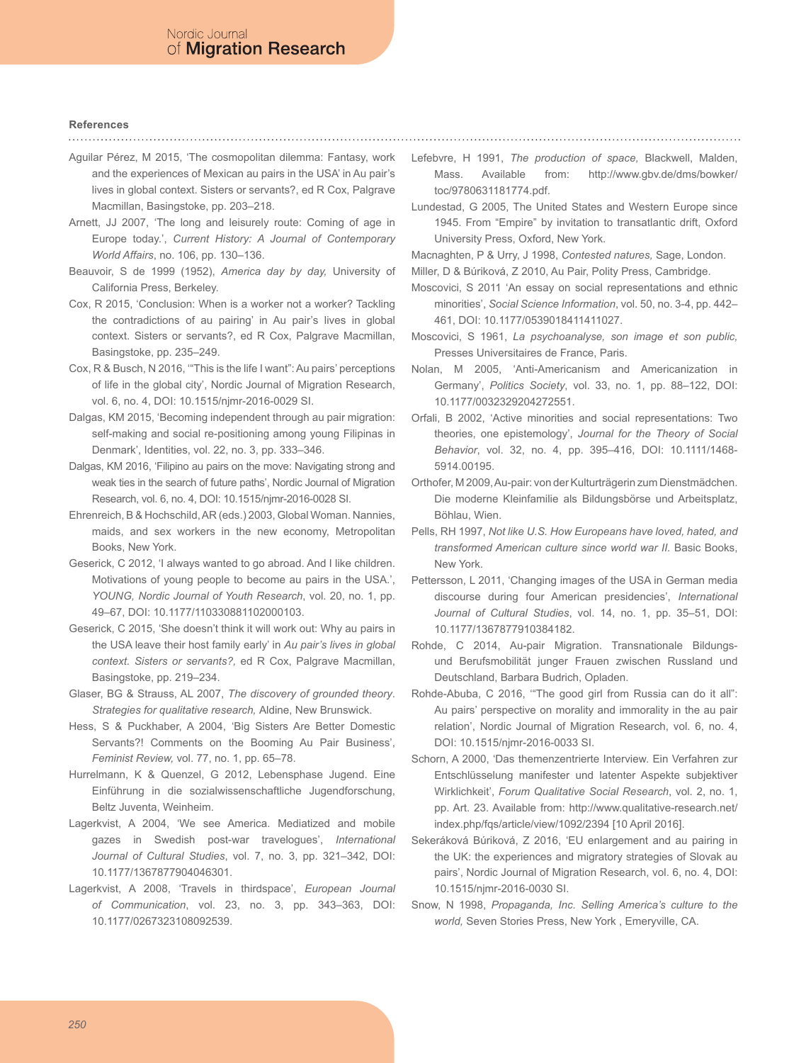#### **References**

- Aguilar Pérez, M 2015, 'The cosmopolitan dilemma: Fantasy, work and the experiences of Mexican au pairs in the USA' in Au pair's lives in global context. Sisters or servants?, ed R Cox, Palgrave Macmillan, Basingstoke, pp. 203–218.
- Arnett, JJ 2007, 'The long and leisurely route: Coming of age in Europe today.', *Current History: A Journal of Contemporary World Affairs*, no. 106, pp. 130–136.
- Beauvoir, S de 1999 (1952), *America day by day,* University of California Press, Berkeley.
- Cox, R 2015, 'Conclusion: When is a worker not a worker? Tackling the contradictions of au pairing' in Au pair's lives in global context. Sisters or servants?, ed R Cox, Palgrave Macmillan, Basingstoke, pp. 235–249.
- Cox, R & Busch, N 2016, '"This is the life I want": Au pairs' perceptions of life in the global city', Nordic Journal of Migration Research, vol. 6, no. 4, DOI: 10.1515/njmr-2016-0029 SI.
- Dalgas, KM 2015, 'Becoming independent through au pair migration: self-making and social re-positioning among young Filipinas in Denmark', Identities, vol. 22, no. 3, pp. 333–346.
- Dalgas, KM 2016, 'Filipino au pairs on the move: Navigating strong and weak ties in the search of future paths', Nordic Journal of Migration Research, vol. 6, no. 4, DOI: 10.1515/njmr-2016-0028 SI.
- Ehrenreich, B & Hochschild, AR (eds.) 2003, Global Woman. Nannies, maids, and sex workers in the new economy, Metropolitan Books, New York.
- Geserick, C 2012, 'I always wanted to go abroad. And I like children. Motivations of young people to become au pairs in the USA.', *YOUNG, Nordic Journal of Youth Research*, vol. 20, no. 1, pp. 49–67, DOI: 10.1177/110330881102000103.
- Geserick, C 2015, 'She doesn't think it will work out: Why au pairs in the USA leave their host family early' in *Au pair's lives in global context. Sisters or servants?,* ed R Cox, Palgrave Macmillan, Basingstoke, pp. 219–234.
- Glaser, BG & Strauss, AL 2007, *The discovery of grounded theory*. *Strategies for qualitative research,* Aldine, New Brunswick.
- Hess, S & Puckhaber, A 2004, 'Big Sisters Are Better Domestic Servants?! Comments on the Booming Au Pair Business', *Feminist Review,* vol. 77, no. 1, pp. 65–78.
- Hurrelmann, K & Quenzel, G 2012, Lebensphase Jugend. Eine Einführung in die sozialwissenschaftliche Jugendforschung, Beltz Juventa, Weinheim.
- Lagerkvist, A 2004, 'We see America. Mediatized and mobile gazes in Swedish post-war travelogues', *International Journal of Cultural Studies*, vol. 7, no. 3, pp. 321–342, DOI: 10.1177/1367877904046301.
- Lagerkvist, A 2008, 'Travels in thirdspace', *European Journal of Communication*, vol. 23, no. 3, pp. 343–363, DOI: 10.1177/0267323108092539.
- Lefebvre, H 1991, *The production of space,* Blackwell, Malden, Mass. Available from: http://www.gbv.de/dms/bowker/ toc/9780631181774.pdf.
- Lundestad, G 2005, The United States and Western Europe since 1945. From "Empire" by invitation to transatlantic drift, Oxford University Press, Oxford, New York.
- Macnaghten, P & Urry, J 1998, *Contested natures,* Sage, London.
- Miller, D & Búriková, Z 2010, Au Pair, Polity Press, Cambridge.
- Moscovici, S 2011 'An essay on social representations and ethnic minorities', *Social Science Information*, vol. 50, no. 3-4, pp. 442– 461, DOI: 10.1177/0539018411411027.
- Moscovici, S 1961, *La psychoanalyse, son image et son public,*  Presses Universitaires de France, Paris.
- Nolan, M 2005, 'Anti-Americanism and Americanization in Germany', *Politics Society*, vol. 33, no. 1, pp. 88–122, DOI: 10.1177/0032329204272551.
- Orfali, B 2002, 'Active minorities and social representations: Two theories, one epistemology', *Journal for the Theory of Social Behavior*, vol. 32, no. 4, pp. 395–416, DOI: 10.1111/1468- 5914.00195.
- Orthofer, M 2009, Au-pair: von der Kulturträgerin zum Dienstmädchen. Die moderne Kleinfamilie als Bildungsbörse und Arbeitsplatz, Böhlau, Wien.
- Pells, RH 1997, *Not like U.S. How Europeans have loved, hated, and transformed American culture since world war II.* Basic Books, New York.
- Pettersson, L 2011, 'Changing images of the USA in German media discourse during four American presidencies', *International Journal of Cultural Studies*, vol. 14, no. 1, pp. 35–51, DOI: 10.1177/1367877910384182.
- Rohde, C 2014, Au-pair Migration. Transnationale Bildungsund Berufsmobilität junger Frauen zwischen Russland und Deutschland, Barbara Budrich, Opladen.
- Rohde-Abuba, C 2016, '"The good girl from Russia can do it all": Au pairs' perspective on morality and immorality in the au pair relation', Nordic Journal of Migration Research, vol. 6, no. 4, DOI: 10.1515/njmr-2016-0033 SI.
- Schorn, A 2000, 'Das themenzentrierte Interview. Ein Verfahren zur Entschlüsselung manifester und latenter Aspekte subjektiver Wirklichkeit', *Forum Qualitative Social Research*, vol. 2, no. 1, pp. Art. 23. Available from: http://www.qualitative-research.net/ index.php/fqs/article/view/1092/2394 [10 April 2016].
- Sekeráková Búriková, Z 2016, 'EU enlargement and au pairing in the UK: the experiences and migratory strategies of Slovak au pairs', Nordic Journal of Migration Research, vol. 6, no. 4, DOI: 10.1515/njmr-2016-0030 SI.
- Snow, N 1998, *Propaganda, Inc. Selling America's culture to the world,* Seven Stories Press, New York , Emeryville, CA.